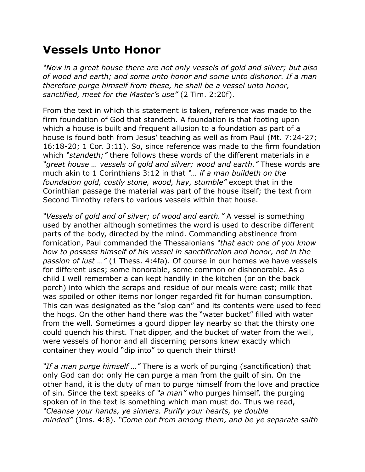## **Vessels Unto Honor**

*"Now in a great house there are not only vessels of gold and silver; but also of wood and earth; and some unto honor and some unto dishonor. If a man therefore purge himself from these, he shall be a vessel unto honor, sanctified, meet for the Master's use"* (2 Tim. 2:20f).

From the text in which this statement is taken, reference was made to the firm foundation of God that standeth. A foundation is that footing upon which a house is built and frequent allusion to a foundation as part of a house is found both from Jesus' teaching as well as from Paul (Mt. 7:24-27; 16:18-20; 1 Cor. 3:11). So, since reference was made to the firm foundation which *"standeth;"* there follows these words of the different materials in a *"great house … vessels of gold and silver; wood and earth."* These words are much akin to 1 Corinthians 3:12 in that *"… if a man buildeth on the foundation gold, costly stone, wood, hay, stumble"* except that in the Corinthian passage the material was part of the house itself; the text from Second Timothy refers to various vessels within that house.

*"Vessels of gold and of silver; of wood and earth."* A vessel is something used by another although sometimes the word is used to describe different parts of the body, directed by the mind. Commanding abstinence from fornication, Paul commanded the Thessalonians *"that each one of you know how to possess himself of his vessel in sanctification and honor, not in the passion of lust …"* (1 Thess. 4:4fa). Of course in our homes we have vessels for different uses; some honorable, some common or dishonorable. As a child I well remember a can kept handily in the kitchen (or on the back porch) into which the scraps and residue of our meals were cast; milk that was spoiled or other items nor longer regarded fit for human consumption. This can was designated as the "slop can" and its contents were used to feed the hogs. On the other hand there was the "water bucket" filled with water from the well. Sometimes a gourd dipper lay nearby so that the thirsty one could quench his thirst. That dipper, and the bucket of water from the well, were vessels of honor and all discerning persons knew exactly which container they would "dip into" to quench their thirst!

*"If a man purge himself …"* There is a work of purging (sanctification) that only God can do: only He can purge a man from the guilt of sin. On the other hand, it is the duty of man to purge himself from the love and practice of sin. Since the text speaks of *"a man"* who purges himself, the purging spoken of in the text is something which man must do. Thus we read, *"Cleanse your hands, ye sinners. Purify your hearts, ye double minded"* (Jms. 4:8). *"Come out from among them, and be ye separate saith*